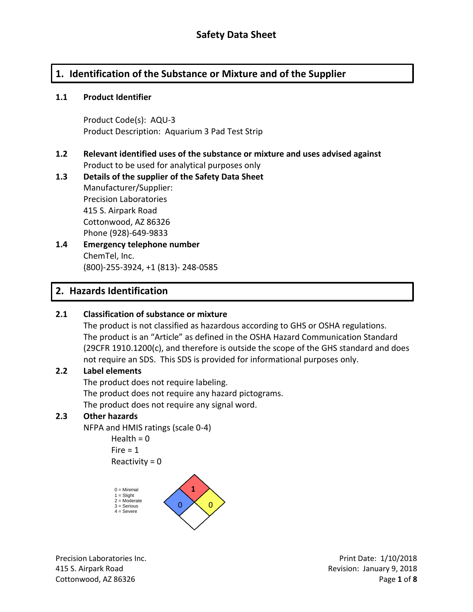# **1. Identification of the Substance or Mixture and of the Supplier**

#### **1.1 Product Identifier**

Product Code(s): AQU-3 Product Description: Aquarium 3 Pad Test Strip

### **1.2 Relevant identified uses of the substance or mixture and uses advised against** Product to be used for analytical purposes only

# **1.3 Details of the supplier of the Safety Data Sheet** Manufacturer/Supplier: Precision Laboratories 415 S. Airpark Road Cottonwood, AZ 86326 Phone (928)-649-9833

**1.4 Emergency telephone number** ChemTel, Inc. (800)-255-3924, +1 (813)- 248-0585

# **2. Hazards Identification**

### **2.1 Classification of substance or mixture**

The product is not classified as hazardous according to GHS or OSHA regulations. The product is an "Article" as defined in the OSHA Hazard Communication Standard (29CFR 1910.1200(c), and therefore is outside the scope of the GHS standard and does not require an SDS. This SDS is provided for informational purposes only.

#### **2.2 Label elements**

The product does not require labeling. The product does not require any hazard pictograms. The product does not require any signal word.

### **2.3 Other hazards**

NFPA and HMIS ratings (scale 0-4)

Health  $= 0$  $Fire = 1$  $Reactivity = 0$ 



Precision Laboratories Inc. **Precision Laboratories Inc.** Print Date: 1/10/2018 415 S. Airpark Road Revision: January 9, 2018 Cottonwood, AZ 86326 Page **1** of **8**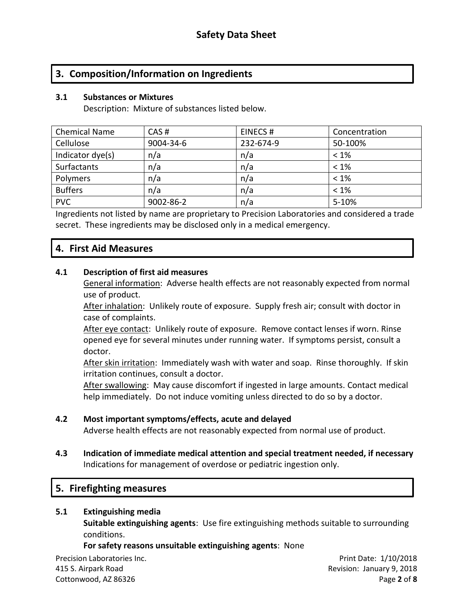# **3. Composition/Information on Ingredients**

#### **3.1 Substances or Mixtures**

Description: Mixture of substances listed below.

| <b>Chemical Name</b> | CAS#      | EINECS#   | Concentration |
|----------------------|-----------|-----------|---------------|
| Cellulose            | 9004-34-6 | 232-674-9 | 50-100%       |
| Indicator dye(s)     | n/a       | n/a       | $< 1\%$       |
| Surfactants          | n/a       | n/a       | $< 1\%$       |
| Polymers             | n/a       | n/a       | $< 1\%$       |
| <b>Buffers</b>       | n/a       | n/a       | $< 1\%$       |
| <b>PVC</b>           | 9002-86-2 | n/a       | $5 - 10%$     |

Ingredients not listed by name are proprietary to Precision Laboratories and considered a trade secret. These ingredients may be disclosed only in a medical emergency.

### **4. First Aid Measures**

#### **4.1 Description of first aid measures**

General information: Adverse health effects are not reasonably expected from normal use of product.

After inhalation: Unlikely route of exposure. Supply fresh air; consult with doctor in case of complaints.

After eye contact: Unlikely route of exposure. Remove contact lenses if worn. Rinse opened eye for several minutes under running water. If symptoms persist, consult a doctor.

After skin irritation: Immediately wash with water and soap. Rinse thoroughly. If skin irritation continues, consult a doctor.

After swallowing: May cause discomfort if ingested in large amounts. Contact medical help immediately. Do not induce vomiting unless directed to do so by a doctor.

#### **4.2 Most important symptoms/effects, acute and delayed**

Adverse health effects are not reasonably expected from normal use of product.

**4.3 Indication of immediate medical attention and special treatment needed, if necessary** Indications for management of overdose or pediatric ingestion only.

### **5. Firefighting measures**

#### **5.1 Extinguishing media**

**Suitable extinguishing agents**: Use fire extinguishing methods suitable to surrounding conditions.

#### **For safety reasons unsuitable extinguishing agents**: None

Precision Laboratories Inc. **Precision Laboratories Inc.** Print Date: 1/10/2018 415 S. Airpark Road Revision: January 9, 2018 Cottonwood, AZ 86326 Page **2** of **8**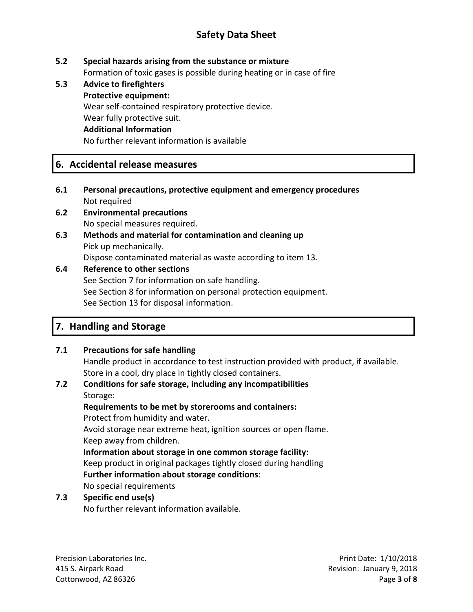# **Safety Data Sheet**

### **5.2 Special hazards arising from the substance or mixture**

Formation of toxic gases is possible during heating or in case of fire

**5.3 Advice to firefighters Protective equipment:** Wear self-contained respiratory protective device. Wear fully protective suit. **Additional Information** No further relevant information is available

# **6. Accidental release measures**

- **6.1 Personal precautions, protective equipment and emergency procedures** Not required
- **6.2 Environmental precautions** No special measures required.
- **6.3 Methods and material for contamination and cleaning up** Pick up mechanically. Dispose contaminated material as waste according to item 13.

### **6.4 Reference to other sections**

See Section 7 for information on safe handling. See Section 8 for information on personal protection equipment. See Section 13 for disposal information.

# **7. Handling and Storage**

### **7.1 Precautions for safe handling**

Handle product in accordance to test instruction provided with product, if available. Store in a cool, dry place in tightly closed containers.

#### **7.2 Conditions for safe storage, including any incompatibilities** Storage:

**Requirements to be met by storerooms and containers:**

Protect from humidity and water.

Avoid storage near extreme heat, ignition sources or open flame. Keep away from children.

**Information about storage in one common storage facility:**

Keep product in original packages tightly closed during handling **Further information about storage conditions**:

No special requirements

### **7.3 Specific end use(s)**

No further relevant information available.

Precision Laboratories Inc. **Precision Laboratories Inc.** Print Date: 1/10/2018 415 S. Airpark Road Revision: January 9, 2018 Cottonwood, AZ 86326 Page **3** of **8**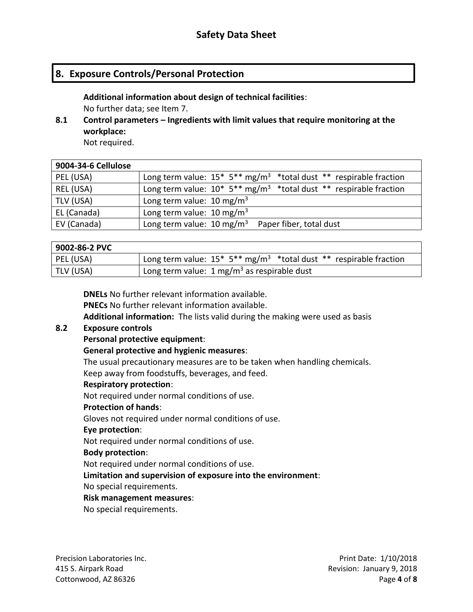# **8. Exposure Controls/Personal Protection**

**Additional information about design of technical facilities**: No further data; see Item 7.

**8.1 Control parameters – Ingredients with limit values that require monitoring at the workplace:**

Not required.

| 9004-34-6 Cellulose |                                                                                     |
|---------------------|-------------------------------------------------------------------------------------|
| PEL (USA)           | Long term value: $15* 5** mg/m^3 * total dust ** respirable fraction$               |
| REL (USA)           | Long term value: $10^* 5^{**}$ mg/m <sup>3</sup> *total dust ** respirable fraction |
| TLV (USA)           | Long term value: $10 \text{ mg/m}^3$                                                |
| EL (Canada)         | Long term value: $10 \text{ mg/m}^3$                                                |
| EV (Canada)         | Long term value: $10 \text{ mg/m}^3$<br>Paper fiber, total dust                     |

# **9002-86-2 PVC**

| PEL (USA) | Long term value: $15^* 5^{**}$ mg/m <sup>3</sup> *total dust ** respirable fraction |
|-----------|-------------------------------------------------------------------------------------|
| TLV (USA) | Long term value: $1 \text{ mg/m}^3$ as respirable dust                              |

**DNELs** No further relevant information available. **PNECs** No further relevant information available. **Additional information:** The lists valid during the making were used as basis

### **8.2 Exposure controls**

#### **Personal protective equipment**:

#### **General protective and hygienic measures**:

The usual precautionary measures are to be taken when handling chemicals. Keep away from foodstuffs, beverages, and feed.

#### **Respiratory protection**:

Not required under normal conditions of use.

#### **Protection of hands**:

Gloves not required under normal conditions of use.

# **Eye protection**:

Not required under normal conditions of use.

### **Body protection**:

Not required under normal conditions of use.

### **Limitation and supervision of exposure into the environment**:

No special requirements.

#### **Risk management measures**:

No special requirements.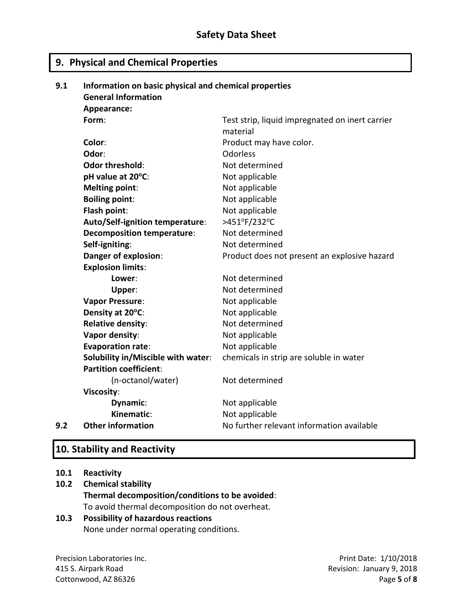# **9. Physical and Chemical Properties**

| 9.1 | Information on basic physical and chemical properties |                                                 |  |
|-----|-------------------------------------------------------|-------------------------------------------------|--|
|     | <b>General Information</b>                            |                                                 |  |
|     | Appearance:                                           |                                                 |  |
|     | Form:                                                 | Test strip, liquid impregnated on inert carrier |  |
|     |                                                       | material                                        |  |
|     | Color:                                                | Product may have color.                         |  |
|     | Odor:                                                 | <b>Odorless</b>                                 |  |
|     | <b>Odor threshold:</b>                                | Not determined                                  |  |
|     | pH value at 20°C:                                     | Not applicable                                  |  |
|     | <b>Melting point:</b>                                 | Not applicable                                  |  |
|     | <b>Boiling point:</b>                                 | Not applicable                                  |  |
|     | Flash point:                                          | Not applicable                                  |  |
|     | Auto/Self-ignition temperature:                       | >451°F/232°C                                    |  |
|     | <b>Decomposition temperature:</b>                     | Not determined                                  |  |
|     | Self-igniting:                                        | Not determined                                  |  |
|     | Danger of explosion:                                  | Product does not present an explosive hazard    |  |
|     | <b>Explosion limits:</b>                              |                                                 |  |
|     | Lower:                                                | Not determined                                  |  |
|     | Upper:                                                | Not determined                                  |  |
|     | <b>Vapor Pressure:</b>                                | Not applicable                                  |  |
|     | Density at 20°C:                                      | Not applicable                                  |  |
|     | <b>Relative density:</b>                              | Not determined                                  |  |
|     | Vapor density:                                        | Not applicable                                  |  |
|     | <b>Evaporation rate:</b>                              | Not applicable                                  |  |
|     | Solubility in/Miscible with water:                    | chemicals in strip are soluble in water         |  |
|     | <b>Partition coefficient:</b>                         |                                                 |  |
|     | (n-octanol/water)                                     | Not determined                                  |  |
|     | <b>Viscosity:</b>                                     |                                                 |  |
|     | Dynamic:                                              | Not applicable                                  |  |
|     | Kinematic:                                            | Not applicable                                  |  |
| 9.2 | <b>Other information</b>                              | No further relevant information available       |  |

# **10. Stability and Reactivity**

#### **10.1 Reactivity**

# **10.2 Chemical stability Thermal decomposition/conditions to be avoided**: To avoid thermal decomposition do not overheat.

### **10.3 Possibility of hazardous reactions** None under normal operating conditions.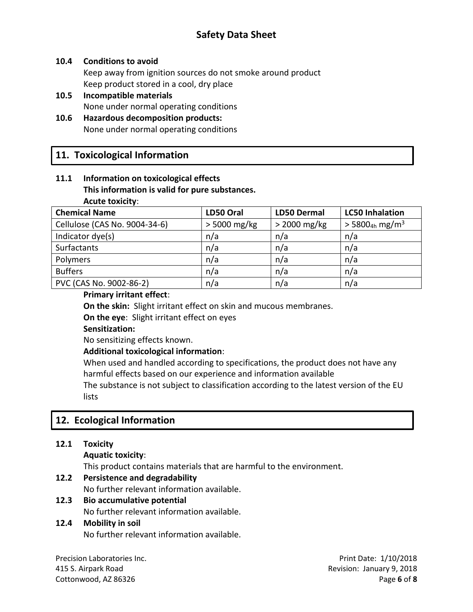# **Safety Data Sheet**

#### **10.4 Conditions to avoid**

Keep away from ignition sources do not smoke around product Keep product stored in a cool, dry place

**10.5 Incompatible materials** None under normal operating conditions

#### **10.6 Hazardous decomposition products:** None under normal operating conditions

### **11. Toxicological Information**

#### **11.1 Information on toxicological effects This information is valid for pure substances. Acute toxicity**:

| <b>Chemical Name</b>          | LD50 Oral      | <b>LD50 Dermal</b> | <b>LC50 Inhalation</b>                   |
|-------------------------------|----------------|--------------------|------------------------------------------|
| Cellulose (CAS No. 9004-34-6) | $> 5000$ mg/kg | $>$ 2000 mg/kg     | $>$ 5800 <sub>4h</sub> mg/m <sup>3</sup> |
| Indicator dye(s)              | n/a            | n/a                | n/a                                      |
| Surfactants                   | n/a            | n/a                | n/a                                      |
| Polymers                      | n/a            | n/a                | n/a                                      |
| <b>Buffers</b>                | n/a            | n/a                | n/a                                      |
| PVC (CAS No. 9002-86-2)       | n/a            | n/a                | n/a                                      |

#### **Primary irritant effect**:

**On the skin:** Slight irritant effect on skin and mucous membranes.

**On the eye**: Slight irritant effect on eyes

**Sensitization:**

No sensitizing effects known.

#### **Additional toxicological information**:

When used and handled according to specifications, the product does not have any harmful effects based on our experience and information available

The substance is not subject to classification according to the latest version of the EU lists

# **12. Ecological Information**

#### **12.1 Toxicity**

**Aquatic toxicity**:

This product contains materials that are harmful to the environment.

#### **12.2 Persistence and degradability**

No further relevant information available.

**12.3 Bio accumulative potential**

No further relevant information available.

#### **12.4 Mobility in soil**

No further relevant information available.

Precision Laboratories Inc. **Precision Laboratories Inc.** Print Date: 1/10/2018

415 S. Airpark Road Revision: January 9, 2018 Cottonwood, AZ 86326 Page **6** of **8**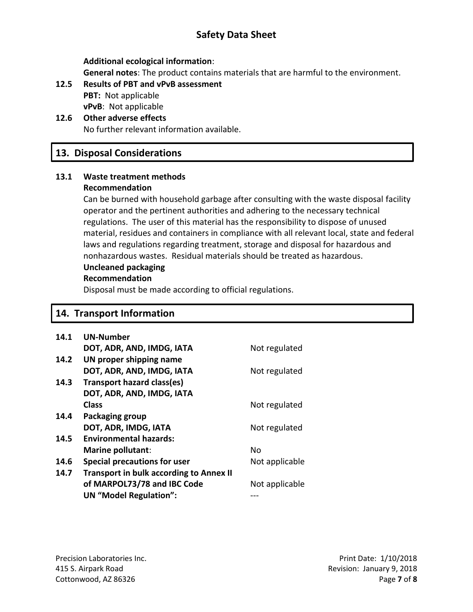# **Safety Data Sheet**

**Additional ecological information**:

**General notes**: The product contains materials that are harmful to the environment.

- **12.5 Results of PBT and vPvB assessment PBT:** Not applicable **vPvB**: Not applicable
- **12.6 Other adverse effects** No further relevant information available.

# **13. Disposal Considerations**

#### **13.1 Waste treatment methods Recommendation**

Can be burned with household garbage after consulting with the waste disposal facility operator and the pertinent authorities and adhering to the necessary technical regulations. The user of this material has the responsibility to dispose of unused material, residues and containers in compliance with all relevant local, state and federal laws and regulations regarding treatment, storage and disposal for hazardous and nonhazardous wastes. Residual materials should be treated as hazardous.

# **Uncleaned packaging**

#### **Recommendation**

Disposal must be made according to official regulations.

# **14. Transport Information**

| 14.1 | <b>UN-Number</b>                               |                |
|------|------------------------------------------------|----------------|
|      | DOT, ADR, AND, IMDG, IATA                      | Not regulated  |
| 14.2 | UN proper shipping name                        |                |
|      | DOT, ADR, AND, IMDG, IATA                      | Not regulated  |
| 14.3 | <b>Transport hazard class(es)</b>              |                |
|      | DOT, ADR, AND, IMDG, IATA                      |                |
|      | <b>Class</b>                                   | Not regulated  |
| 14.4 | Packaging group                                |                |
|      | DOT, ADR, IMDG, IATA                           | Not regulated  |
| 14.5 | <b>Environmental hazards:</b>                  |                |
|      | <b>Marine pollutant:</b>                       | No             |
| 14.6 | <b>Special precautions for user</b>            | Not applicable |
| 14.7 | <b>Transport in bulk according to Annex II</b> |                |
|      | of MARPOL73/78 and IBC Code                    | Not applicable |
|      | <b>UN "Model Regulation":</b>                  |                |